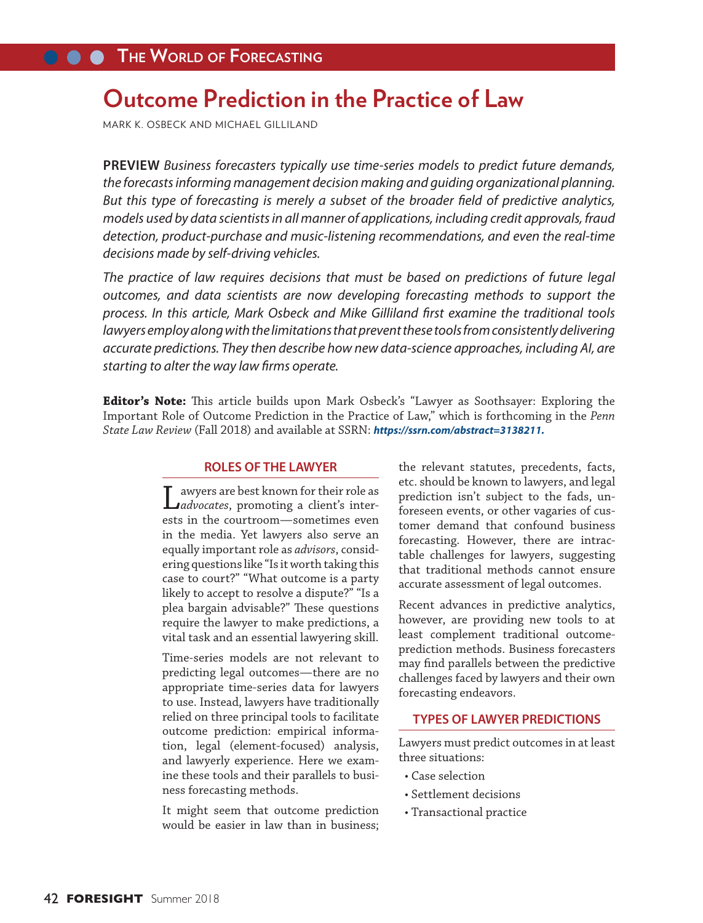# **Outcome Prediction in the Practice of Law**

MARK K. OSBECK AND MICHAEL GILLILAND

**PREVIEW** *Business forecasters typically use time-series models to predict future demands, the forecasts informing management decision making and guiding organizational planning. But this type of forecasting is merely a subset of the broader field of predictive analytics, models used by data scientists in all manner of applications, including credit approvals, fraud detection, product-purchase and music-listening recommendations, and even the real-time decisions made by self-driving vehicles.*

*The practice of law requires decisions that must be based on predictions of future legal outcomes, and data scientists are now developing forecasting methods to support the process. In this article, Mark Osbeck and Mike Gilliland first examine the traditional tools*  lawyers employ along with the limitations that prevent these tools from consistently delivering *accurate predictions. They then describe how new data-science approaches, including AI, are starting to alter the way law firms operate.* 

**Editor's Note:** This article builds upon Mark Osbeck's "Lawyer as Soothsayer: Exploring the Important Role of Outcome Prediction in the Practice of Law," which is forthcoming in the *Penn State Law Review* (Fall 2018) and available at SSRN: *https://ssrn.com/abstract=3138211.*

## **ROLES OF THE LAWYER**

Lawyers are best known for their role as *advocates*, promoting a client's interests in the courtroom—sometimes even in the media. Yet lawyers also serve an equally important role as *advisors*, considering questions like "Is it worth taking this case to court?" "What outcome is a party likely to accept to resolve a dispute?" "Is a plea bargain advisable?" These questions require the lawyer to make predictions, a vital task and an essential lawyering skill.

Time-series models are not relevant to predicting legal outcomes—there are no appropriate time-series data for lawyers to use. Instead, lawyers have traditionally relied on three principal tools to facilitate outcome prediction: empirical information, legal (element-focused) analysis, and lawyerly experience. Here we examine these tools and their parallels to business forecasting methods.

It might seem that outcome prediction would be easier in law than in business; the relevant statutes, precedents, facts, etc. should be known to lawyers, and legal prediction isn't subject to the fads, unforeseen events, or other vagaries of customer demand that confound business forecasting. However, there are intractable challenges for lawyers, suggesting that traditional methods cannot ensure accurate assessment of legal outcomes.

Recent advances in predictive analytics, however, are providing new tools to at least complement traditional outcomeprediction methods. Business forecasters may find parallels between the predictive challenges faced by lawyers and their own forecasting endeavors.

## **TYPES OF LAWYER PREDICTIONS**

Lawyers must predict outcomes in at least three situations:

- Case selection
- Settlement decisions
- Transactional practice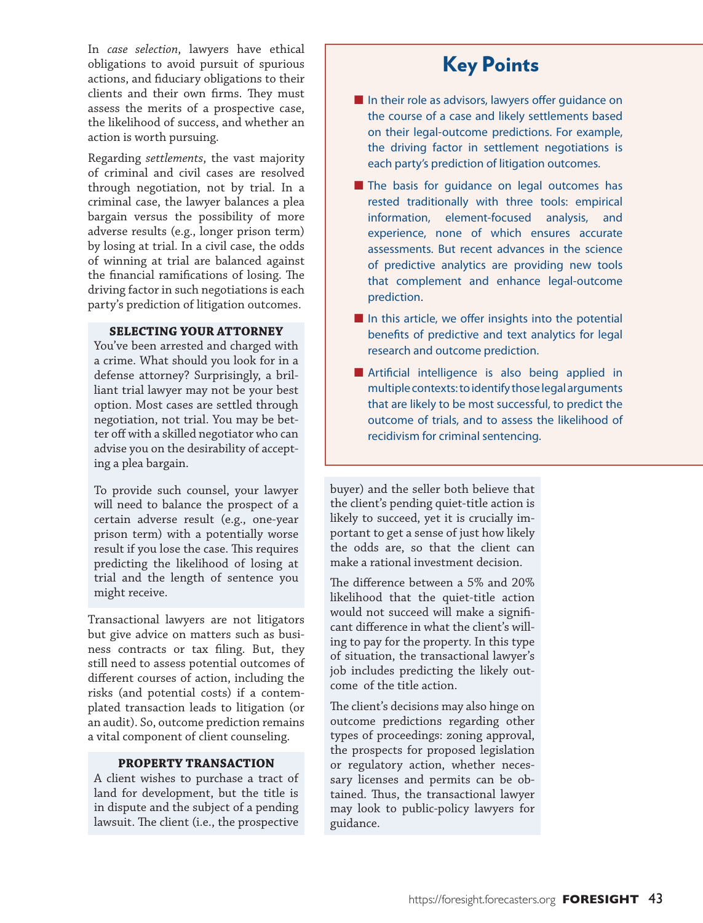In *case selection*, lawyers have ethical obligations to avoid pursuit of spurious actions, and fiduciary obligations to their clients and their own firms. They must assess the merits of a prospective case, the likelihood of success, and whether an action is worth pursuing.

Regarding *settlements*, the vast majority of criminal and civil cases are resolved through negotiation, not by trial. In a criminal case, the lawyer balances a plea bargain versus the possibility of more adverse results (e.g., longer prison term) by losing at trial. In a civil case, the odds of winning at trial are balanced against the financial ramifications of losing. The driving factor in such negotiations is each party's prediction of litigation outcomes.

## **SELECTING YOUR ATTORNEY**

You've been arrested and charged with a crime. What should you look for in a defense attorney? Surprisingly, a brilliant trial lawyer may not be your best option. Most cases are settled through negotiation, not trial. You may be better off with a skilled negotiator who can advise you on the desirability of accepting a plea bargain.

To provide such counsel, your lawyer will need to balance the prospect of a certain adverse result (e.g., one-year prison term) with a potentially worse result if you lose the case. This requires predicting the likelihood of losing at trial and the length of sentence you might receive.

Transactional lawyers are not litigators but give advice on matters such as business contracts or tax filing. But, they still need to assess potential outcomes of different courses of action, including the risks (and potential costs) if a contemplated transaction leads to litigation (or an audit). So, outcome prediction remains a vital component of client counseling.

## **PROPERTY TRANSACTION**

A client wishes to purchase a tract of land for development, but the title is in dispute and the subject of a pending lawsuit. The client (i.e., the prospective

## Key Points

- In their role as advisors, lawyers offer quidance on the course of a case and likely settlements based on their legal-outcome predictions. For example, the driving factor in settlement negotiations is each party's prediction of litigation outcomes.
- The basis for guidance on legal outcomes has rested traditionally with three tools: empirical information, element-focused analysis, and experience, none of which ensures accurate assessments. But recent advances in the science of predictive analytics are providing new tools that complement and enhance legal-outcome prediction.
- In this article, we offer insights into the potential benefits of predictive and text analytics for legal research and outcome prediction.
- Artificial intelligence is also being applied in multiple contexts: to identify those legal arguments that are likely to be most successful, to predict the outcome of trials, and to assess the likelihood of recidivism for criminal sentencing.

buyer) and the seller both believe that the client's pending quiet-title action is likely to succeed, yet it is crucially important to get a sense of just how likely the odds are, so that the client can make a rational investment decision.

The difference between a 5% and 20% likelihood that the quiet-title action would not succeed will make a significant difference in what the client's willing to pay for the property. In this type of situation, the transactional lawyer's job includes predicting the likely outcome of the title action.

The client's decisions may also hinge on outcome predictions regarding other types of proceedings: zoning approval, the prospects for proposed legislation or regulatory action, whether necessary licenses and permits can be obtained. Thus, the transactional lawyer may look to public-policy lawyers for guidance.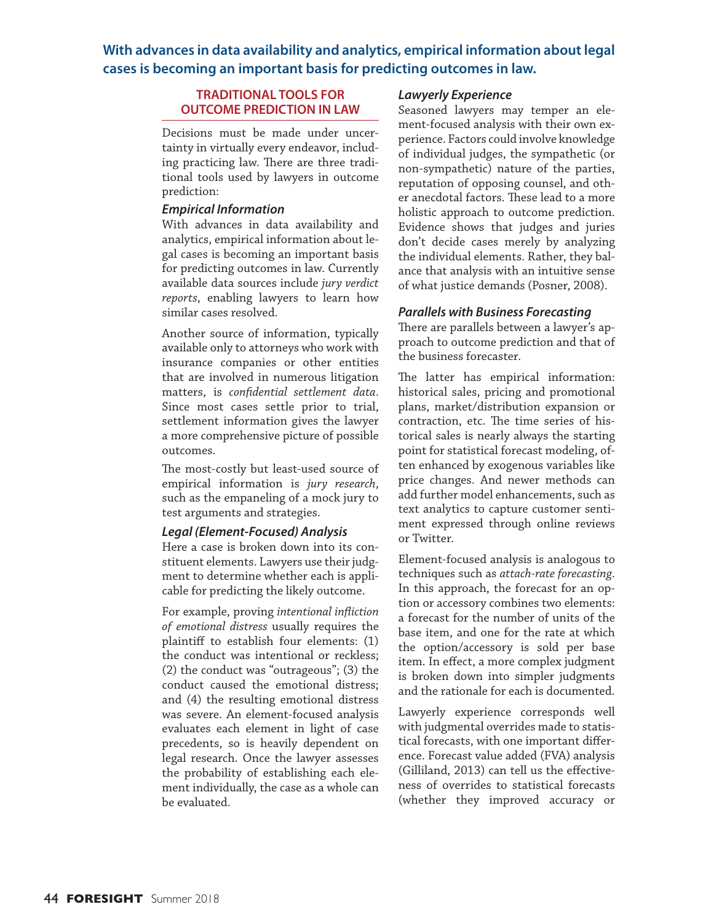## **With advances in data availability and analytics, empirical information about legal cases is becoming an important basis for predicting outcomes in law.**

## **TRADITIONAL TOOLS FOR OUTCOME PREDICTION IN LAW**

Decisions must be made under uncertainty in virtually every endeavor, including practicing law. There are three traditional tools used by lawyers in outcome prediction:

## *Empirical Information*

With advances in data availability and analytics, empirical information about legal cases is becoming an important basis for predicting outcomes in law. Currently available data sources include *jury verdict reports*, enabling lawyers to learn how similar cases resolved.

Another source of information, typically available only to attorneys who work with insurance companies or other entities that are involved in numerous litigation matters, is *confidential settlement data*. Since most cases settle prior to trial, settlement information gives the lawyer a more comprehensive picture of possible outcomes.

The most-costly but least-used source of empirical information is *jury research*, such as the empaneling of a mock jury to test arguments and strategies.

## *Legal (Element-Focused) Analysis*

Here a case is broken down into its constituent elements. Lawyers use their judgment to determine whether each is applicable for predicting the likely outcome.

For example, proving *intentional infliction of emotional distress* usually requires the plaintiff to establish four elements: (1) the conduct was intentional or reckless; (2) the conduct was "outrageous"; (3) the conduct caused the emotional distress; and (4) the resulting emotional distress was severe. An element-focused analysis evaluates each element in light of case precedents, so is heavily dependent on legal research. Once the lawyer assesses the probability of establishing each element individually, the case as a whole can be evaluated.

## *Lawyerly Experience*

Seasoned lawyers may temper an element-focused analysis with their own experience. Factors could involve knowledge of individual judges, the sympathetic (or non-sympathetic) nature of the parties, reputation of opposing counsel, and other anecdotal factors. These lead to a more holistic approach to outcome prediction. Evidence shows that judges and juries don't decide cases merely by analyzing the individual elements. Rather, they balance that analysis with an intuitive sense of what justice demands (Posner, 2008).

## *Parallels with Business Forecasting*

There are parallels between a lawyer's approach to outcome prediction and that of the business forecaster.

The latter has empirical information: historical sales, pricing and promotional plans, market/distribution expansion or contraction, etc. The time series of historical sales is nearly always the starting point for statistical forecast modeling, often enhanced by exogenous variables like price changes. And newer methods can add further model enhancements, such as text analytics to capture customer sentiment expressed through online reviews or Twitter.

Element-focused analysis is analogous to techniques such as *attach-rate forecasting*. In this approach, the forecast for an option or accessory combines two elements: a forecast for the number of units of the base item, and one for the rate at which the option/accessory is sold per base item. In effect, a more complex judgment is broken down into simpler judgments and the rationale for each is documented.

Lawyerly experience corresponds well with judgmental overrides made to statistical forecasts, with one important difference. Forecast value added (FVA) analysis (Gilliland, 2013) can tell us the effectiveness of overrides to statistical forecasts (whether they improved accuracy or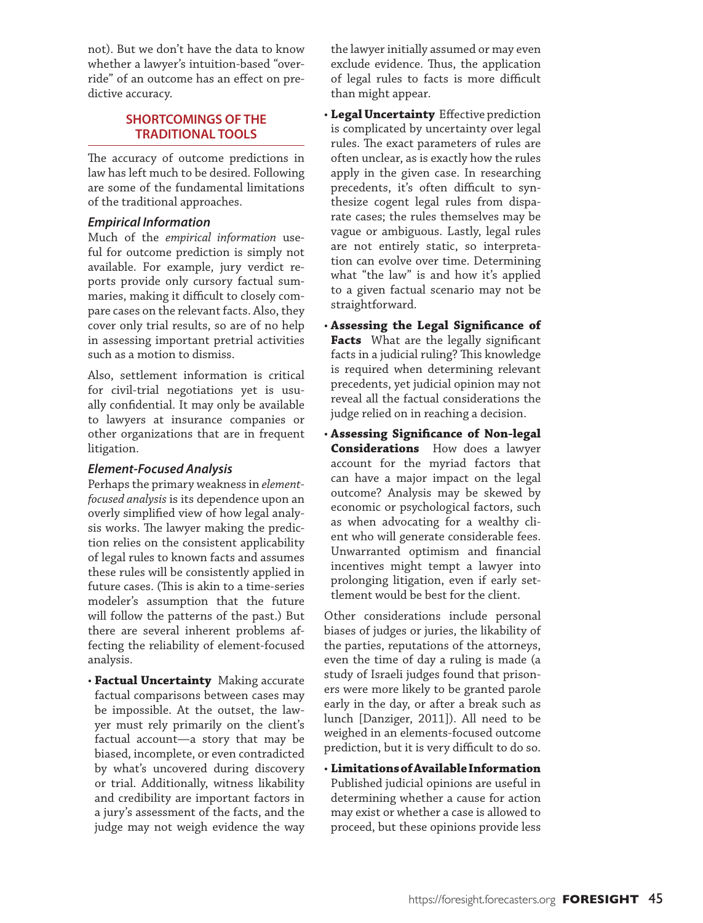not). But we don't have the data to know whether a lawyer's intuition-based "over ride" of an outcome has an effect on pre dictive accuracy.

## **SHORTCOMINGS OF THE TRADITIONAL TOOLS**

The accuracy of outcome predictions in law has left much to be desired. Following are some of the fundamental limitations of the traditional approaches.

## *Empirical Information*

Much of the *empirical information* use ful for outcome prediction is simply not available. For example, jury verdict re ports provide only cursory factual sum maries, making it difficult to closely com pare cases on the relevant facts. Also, they cover only trial results, so are of no help in assessing important pretrial activities such as a motion to dismiss.

Also, settlement information is critical for civil-trial negotiations yet is usu ally confidential. It may only be available to lawyers at insurance companies or other organizations that are in frequent litigation.

## *Element-Focused Analysis*

Perhaps the primary weakness in *elementfocused analysis* is its dependence upon an overly simplified view of how legal analy sis works. The lawyer making the predic tion relies on the consistent applicability of legal rules to known facts and assumes these rules will be consistently applied in future cases. (This is akin to a time-series modeler's assumption that the future will follow the patterns of the past.) But there are several inherent problems affecting the reliability of element-focused analysis.

• **Factual Uncertainty** Making accurate factual comparisons between cases may be impossible. At the outset, the law yer must rely primarily on the client's factual account—a story that may be biased, incomplete, or even contradicted by what's uncovered during discovery or trial. Additionally, witness likability and credibility are important factors in a jury's assessment of the facts, and the judge may not weigh evidence the way the lawyer initially assumed or may even exclude evidence. Thus, the application of legal rules to facts is more difficult than might appear.

- **Legal Uncertainty** Effective prediction is complicated by uncertainty over legal rules. The exact parameters of rules are often unclear, as is exactly how the rules apply in the given case. In researching precedents, it's often difficult to syn thesize cogent legal rules from dispa rate cases; the rules themselves may be vague or ambiguous. Lastly, legal rules are not entirely static, so interpreta tion can evolve over time. Determining what "the law" is and how it's applied to a given factual scenario may not be straightforward.
- **Assessing the Legal Significance of Facts** What are the legally significant facts in a judicial ruling? This knowledge is required when determining relevant precedents, yet judicial opinion may not reveal all the factual considerations the judge relied on in reaching a decision.
- **Assessing Significance of Non-legal Considerations** How does a lawyer account for the myriad factors that can have a major impact on the legal outcome? Analysis may be skewed by economic or psychological factors, such as when advocating for a wealthy cli ent who will generate considerable fees. Unwarranted optimism and financial incentives might tempt a lawyer into prolonging litigation, even if early set tlement would be best for the client.

Other considerations include personal biases of judges or juries, the likability of the parties, reputations of the attorneys, even the time of day a ruling is made (a study of Israeli judges found that prison ers were more likely to be granted parole early in the day, or after a break such as lunch [Danziger, 2011]). All need to be weighed in an elements-focused outcome prediction, but it is very difficult to do so.

• **Limitations of Available Information** Published judicial opinions are useful in determining whether a cause for action may exist or whether a case is allowed to proceed, but these opinions provide less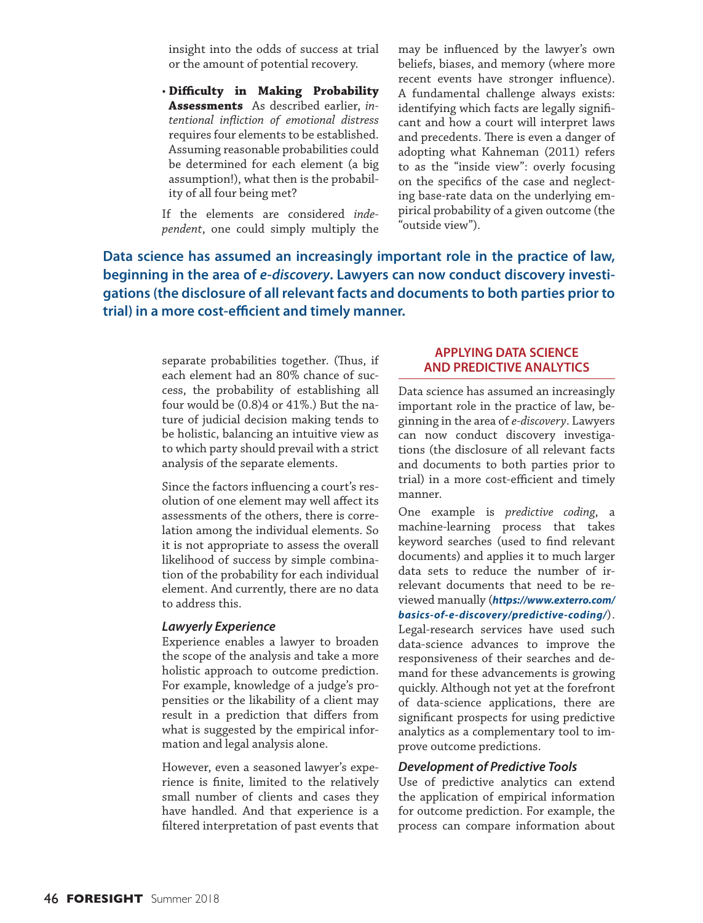insight into the odds of success at trial or the amount of potential recovery.

• **Difficulty in Making Probability Assessments** As described earlier, *intentional infliction of emotional distress* requires four elements to be established. Assuming reasonable probabilities could be determined for each element (a big assumption!), what then is the probability of all four being met?

If the elements are considered *independent*, one could simply multiply the may be influenced by the lawyer's own beliefs, biases, and memory (where more recent events have stronger influence). A fundamental challenge always exists: identifying which facts are legally significant and how a court will interpret laws and precedents. There is even a danger of adopting what Kahneman (2011) refers to as the "inside view": overly focusing on the specifics of the case and neglecting base-rate data on the underlying empirical probability of a given outcome (the "outside view").

**Data science has assumed an increasingly important role in the practice of law, beginning in the area of** *e-discovery***. Lawyers can now conduct discovery investigations (the disclosure of all relevant facts and documents to both parties prior to trial) in a more cost-efficient and timely manner.** 

> separate probabilities together. (Thus, if each element had an 80% chance of success, the probability of establishing all four would be (0.8)4 or 41%.) But the nature of judicial decision making tends to be holistic, balancing an intuitive view as to which party should prevail with a strict analysis of the separate elements.

> Since the factors influencing a court's resolution of one element may well affect its assessments of the others, there is correlation among the individual elements. So it is not appropriate to assess the overall likelihood of success by simple combination of the probability for each individual element. And currently, there are no data to address this.

## *Lawyerly Experience*

Experience enables a lawyer to broaden the scope of the analysis and take a more holistic approach to outcome prediction. For example, knowledge of a judge's propensities or the likability of a client may result in a prediction that differs from what is suggested by the empirical information and legal analysis alone.

However, even a seasoned lawyer's experience is finite, limited to the relatively small number of clients and cases they have handled. And that experience is a filtered interpretation of past events that

## **APPLYING DATA SCIENCE AND PREDICTIVE ANALYTICS**

Data science has assumed an increasingly important role in the practice of law, beginning in the area of *e-discovery*. Lawyers can now conduct discovery investigations (the disclosure of all relevant facts and documents to both parties prior to trial) in a more cost-efficient and timely manner.

One example is *predictive coding*, a machine-learning process that takes keyword searches (used to find relevant documents) and applies it to much larger data sets to reduce the number of irrelevant documents that need to be reviewed manually (*https://www.exterro.com/ basics-of-e-discovery/predictive-coding/*). Legal-research services have used such data-science advances to improve the responsiveness of their searches and demand for these advancements is growing quickly. Although not yet at the forefront of data-science applications, there are significant prospects for using predictive analytics as a complementary tool to improve outcome predictions.

#### *Development of Predictive Tools*

Use of predictive analytics can extend the application of empirical information for outcome prediction. For example, the process can compare information about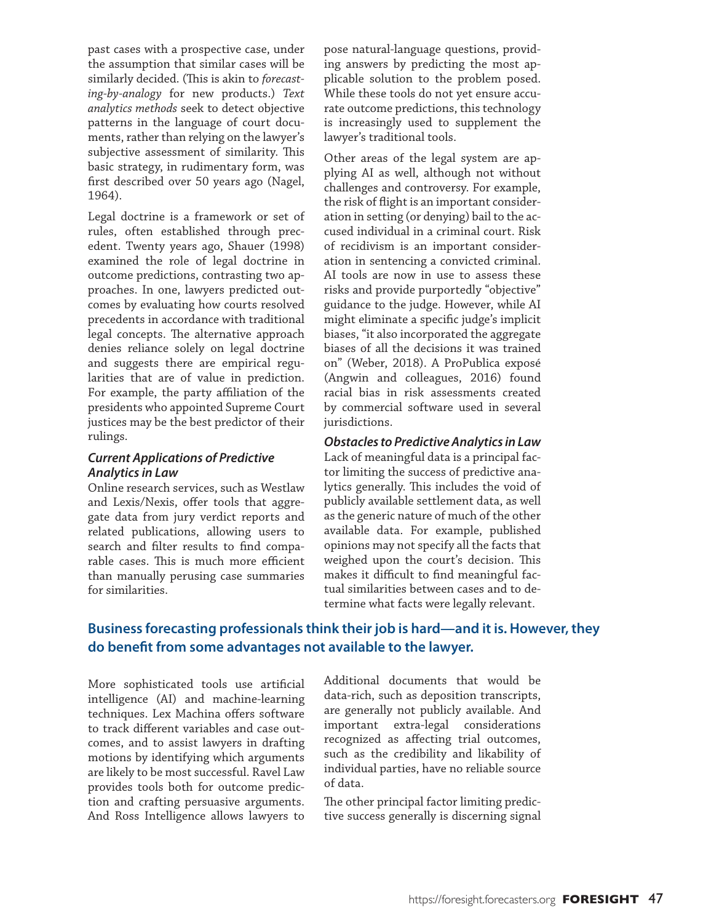past cases with a prospective case, under the assumption that similar cases will be similarly decided. (This is akin to *forecasting-by-analogy* for new products.) *Text analytics methods* seek to detect objective patterns in the language of court documents, rather than relying on the lawyer's subjective assessment of similarity. This basic strategy, in rudimentary form, was first described over 50 years ago (Nagel, 1964).

Legal doctrine is a framework or set of rules, often established through precedent. Twenty years ago, Shauer (1998) examined the role of legal doctrine in outcome predictions, contrasting two approaches. In one, lawyers predicted outcomes by evaluating how courts resolved precedents in accordance with traditional legal concepts. The alternative approach denies reliance solely on legal doctrine and suggests there are empirical regularities that are of value in prediction. For example, the party affiliation of the presidents who appointed Supreme Court justices may be the best predictor of their rulings.

## *Current Applications of Predictive Analytics in Law*

Online research services, such as Westlaw and Lexis/Nexis, offer tools that aggregate data from jury verdict reports and related publications, allowing users to search and filter results to find comparable cases. This is much more efficient than manually perusing case summaries for similarities.

pose natural-language questions, providing answers by predicting the most applicable solution to the problem posed. While these tools do not yet ensure accurate outcome predictions, this technology is increasingly used to supplement the lawyer's traditional tools.

Other areas of the legal system are applying AI as well, although not without challenges and controversy. For example, the risk of flight is an important consideration in setting (or denying) bail to the accused individual in a criminal court. Risk of recidivism is an important consideration in sentencing a convicted criminal. AI tools are now in use to assess these risks and provide purportedly "objective" guidance to the judge. However, while AI might eliminate a specific judge's implicit biases, "it also incorporated the aggregate biases of all the decisions it was trained on" (Weber, 2018). A ProPublica exposé (Angwin and colleagues, 2016) found racial bias in risk assessments created by commercial software used in several jurisdictions.

*Obstacles to Predictive Analytics in Law* Lack of meaningful data is a principal factor limiting the success of predictive analytics generally. This includes the void of publicly available settlement data, as well as the generic nature of much of the other available data. For example, published opinions may not specify all the facts that weighed upon the court's decision. This makes it difficult to find meaningful factual similarities between cases and to determine what facts were legally relevant.

## **Business forecasting professionals think their job is hard—and it is. However, they do benefit from some advantages not available to the lawyer.**

More sophisticated tools use artificial intelligence (AI) and machine-learning techniques. Lex Machina offers software to track different variables and case outcomes, and to assist lawyers in drafting motions by identifying which arguments are likely to be most successful. Ravel Law provides tools both for outcome prediction and crafting persuasive arguments. And Ross Intelligence allows lawyers to

Additional documents that would be data-rich, such as deposition transcripts, are generally not publicly available. And important extra-legal considerations recognized as affecting trial outcomes, such as the credibility and likability of individual parties, have no reliable source of data.

The other principal factor limiting predictive success generally is discerning signal